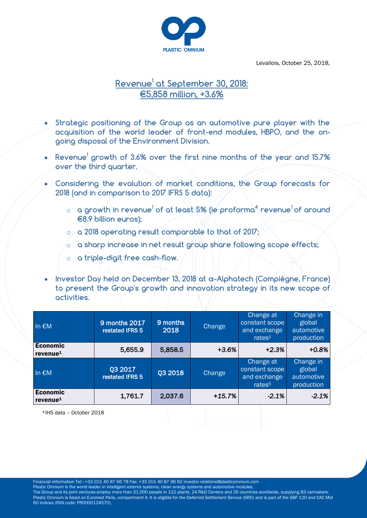

Levallois, October 25, 2018,

# **Revenue<sup>1</sup> at September 30, 2018: €5,858 million, +3.6%**

- **Strategic positioning of the Group as an automotive pure player with the acquisition of the world leader of front-end modules, HBPO, and the ongoing disposal of the Environment Division.**
- **Revenue<sup>1</sup> growth of 3.6% over the first nine months of the year and 15.7% over the third quarter.**
- **Considering the evolution of market conditions, the Group forecasts for 2018 (and in comparison to 2017 IFRS 5 data):** 
	- o **a growth in revenue<sup>1</sup> of at least 5% (ie proforma<sup>4</sup> revenue<sup>1</sup>of around €8.9 billion euros);**
	- o **a 2018 operating result comparable to that of 2017;**
	- o **a sharp increase in net result group share following scope effects;**
	- o **a triple-digit free cash-flow.**
- **Investor Day held on December 13, 2018 at α-Alphatech (Compiègne, France) to present the Group's growth and innovation strategy in its new scope of activities.**

| In $\epsilon$ M                         | 9 months 2017<br>restated IFRS 5 | 9 months<br>2018 | Change   | Change at<br>constant scope<br>and exchange<br>rates <sup>5</sup> | Change in<br>global<br>automotive<br>production |
|-----------------------------------------|----------------------------------|------------------|----------|-------------------------------------------------------------------|-------------------------------------------------|
| <b>Economic</b><br>revenue <sup>1</sup> | 5,655.9                          | 5,858.5          | $+3.6%$  | $+2.3%$                                                           | $+0.8%$                                         |
| In $\epsilon$ M                         | Q3 2017<br>restated IFRS 5       | Q3 2018          | Change   | Change at<br>constant scope<br>and exchange<br>rates <sup>5</sup> | Change in<br>global<br>automotive<br>production |
| <b>Economic</b><br>revenue <sup>1</sup> | 1,761.7                          | 2,037.6          | $+15.7%$ | $-2.1%$                                                           | $-2.1%$                                         |

\*IHS data – October 2018

Financial information Tel.: +33 (0)1 40 87 66 78 Fax: +33 (0)1 40 87 96 62 investor.relations@plasticomnium.com

Plastic Omnium is the world leader in intelligent exterior systems, clean energy systems and automotive modules.

The Group and its joint ventures employ more than 31,000 people in 122 plants, 24 R&D Centers and 26 countries worldwide, supplying 83 carmakers. Plastic Omnium is listed on Euronext Paris, compartment A. It is eligible for the Deferred Settlement Service (SRD) and is part of the SBF 120 and CAC Mid 60 indices (ISIN code: FR0000124570).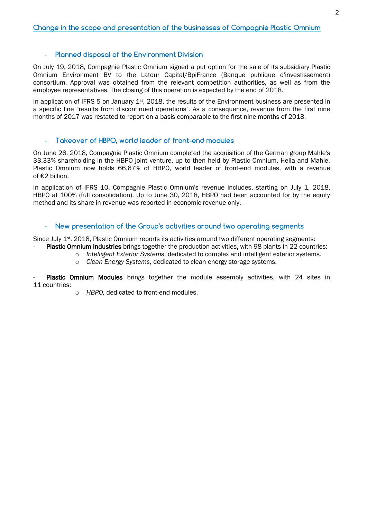### - **Planned disposal of the Environment Division**

On July 19, 2018, Compagnie Plastic Omnium signed a put option for the sale of its subsidiary Plastic Omnium Environment BV to the Latour Capital/BpiFrance (Banque publique d'investissement) consortium. Approval was obtained from the relevant competition authorities, as well as from the employee representatives. The closing of this operation is expected by the end of 2018.

In application of IFRS 5 on January  $1<sup>st</sup>$ , 2018, the results of the Environment business are presented in a specific line "results from discontinued operations". As a consequence, revenue from the first nine months of 2017 was restated to report on a basis comparable to the first nine months of 2018.

#### - **Takeover of HBPO, world leader of front-end modules**

On June 26, 2018, Compagnie Plastic Omnium completed the acquisition of the German group Mahle's 33.33% shareholding in the HBPO joint venture, up to then held by Plastic Omnium, Hella and Mahle. Plastic Omnium now holds 66.67% of HBPO, world leader of front-end modules, with a revenue of €2 billion.

In application of IFRS 10, Compagnie Plastic Omnium's revenue includes, starting on July 1, 2018, HBPO at 100% (full consolidation). Up to June 30, 2018, HBPO had been accounted for by the equity method and its share in revenue was reported in economic revenue only.

### - **New presentation of the Group's activities around two operating segments**

Since July 1<sup>st</sup>, 2018, Plastic Omnium reports its activities around two different operating segments: Plastic Omnium Industries brings together the production activities, with 98 plants in 22 countries:

- o *Intelligent Exterior Systems*, dedicated to complex and intelligent exterior systems.
	- o *Clean Energy Systems*, dedicated to clean energy storage systems.

Plastic Omnium Modules brings together the module assembly activities, with 24 sites in 11 countries:

o *HBPO,* dedicated to front-end modules.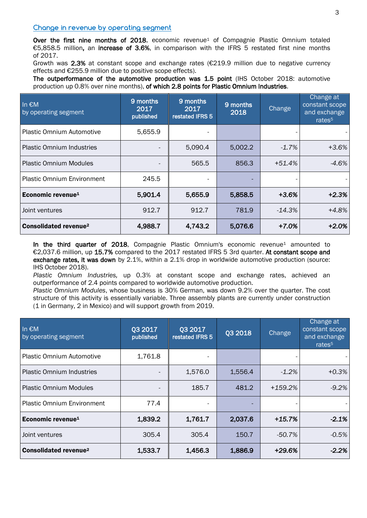### **Change in revenue by operating segment**

Over the first nine months of 2018, economic revenue<sup>1</sup> of Compagnie Plastic Omnium totaled €5,858.5 million, an increase of 3.6%, in comparison with the IFRS 5 restated first nine months of 2017.

Growth was 2.3% at constant scope and exchange rates ( $\epsilon$ 219.9 million due to negative currency effects and €255.9 million due to positive scope effects).

The outperformance of the automotive production was 1.5 point (IHS October 2018: automotive production up 0.8% over nine months), of which 2.8 points for Plastic Omnium Industries.

| In $\epsilon$ M<br>by operating segment | 9 months<br>2017<br>published | 9 months<br>2017<br>restated IFRS 5 | 9 months<br>2018 | <b>Change</b> | Change at<br>constant scope<br>and exchange<br>rates <sup>5</sup> |
|-----------------------------------------|-------------------------------|-------------------------------------|------------------|---------------|-------------------------------------------------------------------|
| <b>Plastic Omnium Automotive</b>        | 5,655.9                       |                                     |                  |               |                                                                   |
| <b>Plastic Omnium Industries</b>        |                               | 5,090.4                             | 5,002.2          | $-1.7%$       | $+3.6%$                                                           |
| <b>Plastic Omnium Modules</b>           |                               | 565.5                               | 856.3            | $+51.4%$      | $-4.6%$                                                           |
| <b>Plastic Omnium Environment</b>       | 245.5                         |                                     |                  |               |                                                                   |
| Economic revenue <sup>1</sup>           | 5,901.4                       | 5,655.9                             | 5,858.5          | $+3.6%$       | $+2.3%$                                                           |
| Joint ventures                          | 912.7                         | 912.7                               | 781.9            | $-14.3\%$     | $+4.8%$                                                           |
| <b>Consolidated revenue<sup>2</sup></b> | 4,988.7                       | 4,743.2                             | 5,076.6          | $+7.0%$       | +2.0%                                                             |

In the third quarter of 2018, Compagnie Plastic Omnium's economic revenue<sup>1</sup> amounted to €2,037.6 million, up 15.7% compared to the 2017 restated IFRS 5 3rd quarter. At constant scope and exchange rates, it was down by 2.1%, within a 2.1% drop in worldwide automotive production (source: IHS October 2018).

*Plastic Omnium Industries,* up 0.3% at constant scope and exchange rates, achieved an outperformance of 2.4 points compared to worldwide automotive production.

*Plastic Omnium Modules*, whose business is 30% German, was down 9.2% over the quarter. The cost structure of this activity is essentially variable. Three assembly plants are currently under construction (1 in Germany, 2 in Mexico) and will support growth from 2019.

| In €M<br>by operating segment           | Q3 2017<br>published | Q3 2017<br>restated IFRS 5 | Q3 2018 | Change    | Change at<br>constant scope<br>and exchange<br>rates <sup>5</sup> |
|-----------------------------------------|----------------------|----------------------------|---------|-----------|-------------------------------------------------------------------|
| <b>Plastic Omnium Automotive</b>        | 1,761.8              |                            |         |           |                                                                   |
| <b>Plastic Omnium Industries</b>        |                      | 1,576.0                    | 1,556.4 | $-1.2\%$  | $+0.3%$                                                           |
| <b>Plastic Omnium Modules</b>           |                      | 185.7                      | 481.2   | $+159.2%$ | $-9.2%$                                                           |
| <b>Plastic Omnium Environment</b>       | 77.4                 |                            |         |           |                                                                   |
| Economic revenue <sup>1</sup>           | 1,839.2              | 1,761.7                    | 2,037.6 | $+15.7%$  | $-2.1%$                                                           |
| Joint ventures                          | 305.4                | 305.4                      | 150.7   | $-50.7%$  | $-0.5%$                                                           |
| <b>Consolidated revenue<sup>2</sup></b> | 1,533.7              | 1,456.3                    | 1,886.9 | +29.6%    | $-2.2%$                                                           |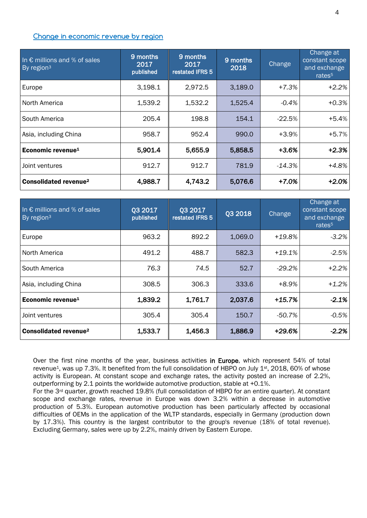#### **Change in economic revenue by region**

| In $\epsilon$ millions and % of sales<br>By region <sup>3</sup> | 9 months<br>2017<br>published | 9 months<br>2017<br>restated IFRS 5 | 9 months<br>2018 | Change    | Change at<br>constant scope<br>and exchange<br>rates <sup>5</sup> |
|-----------------------------------------------------------------|-------------------------------|-------------------------------------|------------------|-----------|-------------------------------------------------------------------|
| Europe                                                          | 3,198.1                       | 2,972.5                             | 3,189.0          | $+7.3%$   | $+2.2%$                                                           |
| North America                                                   | 1,539.2                       | 1,532.2                             | 1,525.4          | $-0.4%$   | $+0.3%$                                                           |
| South America                                                   | 205.4                         | 198.8                               | 154.1            | $-22.5%$  | $+5.4%$                                                           |
| Asia, including China                                           | 958.7                         | 952.4                               | 990.0            | $+3.9%$   | $+5.7%$                                                           |
| Economic revenue <sup>1</sup>                                   | 5,901.4                       | 5,655.9                             | 5,858.5          | $+3.6%$   | $+2.3%$                                                           |
| Joint ventures                                                  | 912.7                         | 912.7                               | 781.9            | $-14.3\%$ | $+4.8%$                                                           |
| <b>Consolidated revenue<sup>2</sup></b>                         | 4,988.7                       | 4,743.2                             | 5,076.6          | $+7.0%$   | $+2.0%$                                                           |

| In $\epsilon$ millions and % of sales<br>By region <sup>3</sup> | <b>Q3 2017</b><br>published | 03 2017<br>restated IFRS 5 | Q3 2018 | Change   | Change at<br>constant scope<br>and exchange<br>rates <sup>5</sup> |
|-----------------------------------------------------------------|-----------------------------|----------------------------|---------|----------|-------------------------------------------------------------------|
| Europe                                                          | 963.2                       | 892.2                      | 1,069.0 | $+19.8%$ | $-3.2%$                                                           |
| North America                                                   | 491.2                       | 488.7                      | 582.3   | $+19.1%$ | $-2.5%$                                                           |
| South America                                                   | 76.3                        | 74.5                       | 52.7    | $-29.2%$ | $+2.2%$                                                           |
| Asia, including China                                           | 308.5                       | 306.3                      | 333.6   | +8.9%    | $+1.2%$                                                           |
| Economic revenue <sup>1</sup>                                   | 1,839.2                     | 1,761.7                    | 2,037.6 | $+15.7%$ | $-2.1%$                                                           |
| Joint ventures                                                  | 305.4                       | 305.4                      | 150.7   | -50.7%   | $-0.5%$                                                           |
| <b>Consolidated revenue<sup>2</sup></b>                         | 1,533.7                     | 1,456.3                    | 1,886.9 | +29.6%   | $-2.2%$                                                           |

Over the first nine months of the year, business activities in Europe, which represent 54% of total revenue<sup>1</sup>, was up 7.3%. It benefited from the full consolidation of HBPO on July 1<sup>st</sup>, 2018, 60% of whose activity is European. At constant scope and exchange rates, the activity posted an increase of 2.2%, outperforming by 2.1 points the worldwide automotive production, stable at +0.1%.

For the 3rd quarter, growth reached 19.8% (full consolidation of HBPO for an entire quarter). At constant scope and exchange rates, revenue in Europe was down 3.2% within a decrease in automotive production of 5.3%. European automotive production has been particularly affected by occasional difficulties of OEMs in the application of the WLTP standards, especially in Germany (production down by 17.3%). This country is the largest contributor to the group's revenue (18% of total revenue). Excluding Germany, sales were up by 2.2%, mainly driven by Eastern Europe.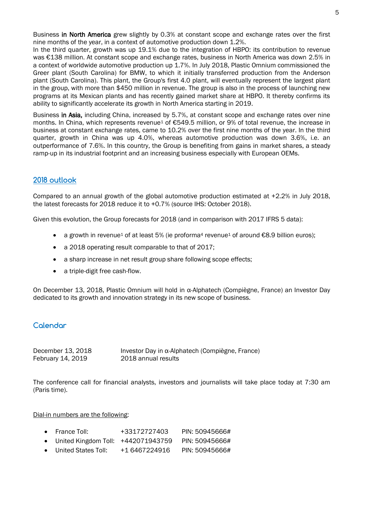Business in North America grew slightly by 0.3% at constant scope and exchange rates over the first nine months of the year, in a context of automotive production down 1.2%.

In the third quarter, growth was up 19.1% due to the integration of HBPO: its contribution to revenue was €138 million. At constant scope and exchange rates, business in North America was down 2.5% in a context of worldwide automotive production up 1.7%. In July 2018, Plastic Omnium commissioned the Greer plant (South Carolina) for BMW, to which it initially transferred production from the Anderson plant (South Carolina). This plant, the Group's first 4.0 plant, will eventually represent the largest plant in the group, with more than \$450 million in revenue. The group is also in the process of launching new programs at its Mexican plants and has recently gained market share at HBPO. It thereby confirms its ability to significantly accelerate its growth in North America starting in 2019.

Business in Asia, including China, increased by 5.7%, at constant scope and exchange rates over nine months. In China, which represents revenue<sup>1</sup> of €549.5 million, or 9% of total revenue, the increase in business at constant exchange rates, came to 10.2% over the first nine months of the year. In the third quarter, growth in China was up 4.0%, whereas automotive production was down 3.6%, i.e. an outperformance of 7.6%. In this country, the Group is benefiting from gains in market shares, a steady ramp-up in its industrial footprint and an increasing business especially with European OEMs.

# **2018 outlook**

Compared to an annual growth of the global automotive production estimated at +2.2% in July 2018, the latest forecasts for 2018 reduce it to +0.7% (source IHS: October 2018).

Given this evolution, the Group forecasts for 2018 (and in comparison with 2017 IFRS 5 data):

- a growth in revenue<sup>1</sup> of at least 5% (ie proforma<sup>4</sup> revenue<sup>1</sup> of around  $\epsilon$ 8.9 billion euros);
- a 2018 operating result comparable to that of 2017;
- a sharp increase in net result group share following scope effects;
- a triple-digit free cash-flow.

On December 13, 2018, Plastic Omnium will hold in α-Alphatech (Compiègne, France) an Investor Day dedicated to its growth and innovation strategy in its new scope of business.

## **Calendar**

| December 13, 2018 | Investor Day in α-Alphatech (Compiègne, France) |
|-------------------|-------------------------------------------------|
| February 14, 2019 | 2018 annual results                             |

The conference call for financial analysts, investors and journalists will take place today at 7:30 am (Paris time).

#### Dial-in numbers are the following:

- United Kingdom Toll: +442071943759 PIN: 50945666#
- United States Toll: +1 6467224916 PIN: 50945666#